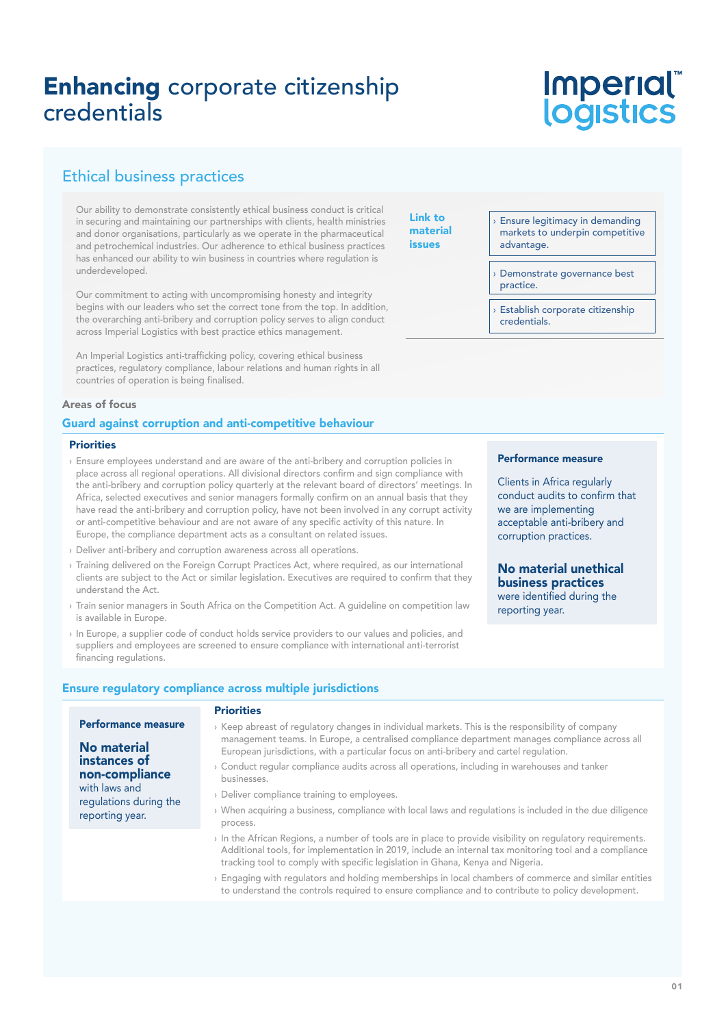# Enhancing corporate citizenship credentials

# Imperial®<br>logistics

### Ethical business practices

Our ability to demonstrate consistently ethical business conduct is critical in securing and maintaining our partnerships with clients, health ministries and donor organisations, particularly as we operate in the pharmaceutical and petrochemical industries. Our adherence to ethical business practices has enhanced our ability to win business in countries where regulation is underdeveloped.

Our commitment to acting with uncompromising honesty and integrity begins with our leaders who set the correct tone from the top. In addition, the overarching anti-bribery and corruption policy serves to align conduct across Imperial Logistics with best practice ethics management.

An Imperial Logistics anti-trafficking policy, covering ethical business practices, regulatory compliance, labour relations and human rights in all countries of operation is being finalised.

#### Areas of focus

#### Guard against corruption and anti-competitive behaviour

#### **Priorities**

- › Ensure employees understand and are aware of the anti-bribery and corruption policies in place across all regional operations. All divisional directors confirm and sign compliance with the anti-bribery and corruption policy quarterly at the relevant board of directors' meetings. In Africa, selected executives and senior managers formally confirm on an annual basis that they have read the anti-bribery and corruption policy, have not been involved in any corrupt activity or anti-competitive behaviour and are not aware of any specific activity of this nature. In Europe, the compliance department acts as a consultant on related issues.
- › Deliver anti-bribery and corruption awareness across all operations.
- › Training delivered on the Foreign Corrupt Practices Act, where required, as our international clients are subject to the Act or similar legislation. Executives are required to confirm that they understand the Act.
- › Train senior managers in South Africa on the Competition Act. A guideline on competition law is available in Europe.
- › In Europe, a supplier code of conduct holds service providers to our values and policies, and suppliers and employees are screened to ensure compliance with international anti-terrorist financing regulations.

#### Link to material issues

Ensure legitimacy in demanding markets to underpin competitive advantage.

Demonstrate governance best practice.

Establish corporate citizenship credentials.

#### Performance measure

Clients in Africa regularly conduct audits to confirm that we are implementing acceptable anti-bribery and corruption practices.

### No material unethical business practices

were identified during the reporting year.

#### Ensure regulatory compliance across multiple jurisdictions

#### Priorities

| <b>Performance measure</b>                                                                                  | > Keep abreast of regulatory changes in individual markets. This is the responsibility of company                                                                                                                                                                                                    |
|-------------------------------------------------------------------------------------------------------------|------------------------------------------------------------------------------------------------------------------------------------------------------------------------------------------------------------------------------------------------------------------------------------------------------|
| No material<br>instances of<br>non-compliance<br>with laws and<br>regulations during the<br>reporting year. | management teams. In Europe, a centralised compliance department manages compliance across all<br>European jurisdictions, with a particular focus on anti-bribery and cartel regulation.                                                                                                             |
|                                                                                                             | $\rightarrow$ Conduct regular compliance audits across all operations, including in warehouses and tanker<br>businesses.                                                                                                                                                                             |
|                                                                                                             | > Deliver compliance training to employees.                                                                                                                                                                                                                                                          |
|                                                                                                             | When acquiring a business, compliance with local laws and regulations is included in the due diligence<br>process.                                                                                                                                                                                   |
|                                                                                                             | In the African Regions, a number of tools are in place to provide visibility on regulatory requirements.<br>Additional tools, for implementation in 2019, include an internal tax monitoring tool and a compliance<br>tracking tool to comply with specific legislation in Ghana, Kenya and Nigeria. |
|                                                                                                             | n ⊞oos of the state of the constitution of the color color. The club color of the color of the color of the col                                                                                                                                                                                      |

› Engaging with regulators and holding memberships in local chambers of commerce and similar entities to understand the controls required to ensure compliance and to contribute to policy development.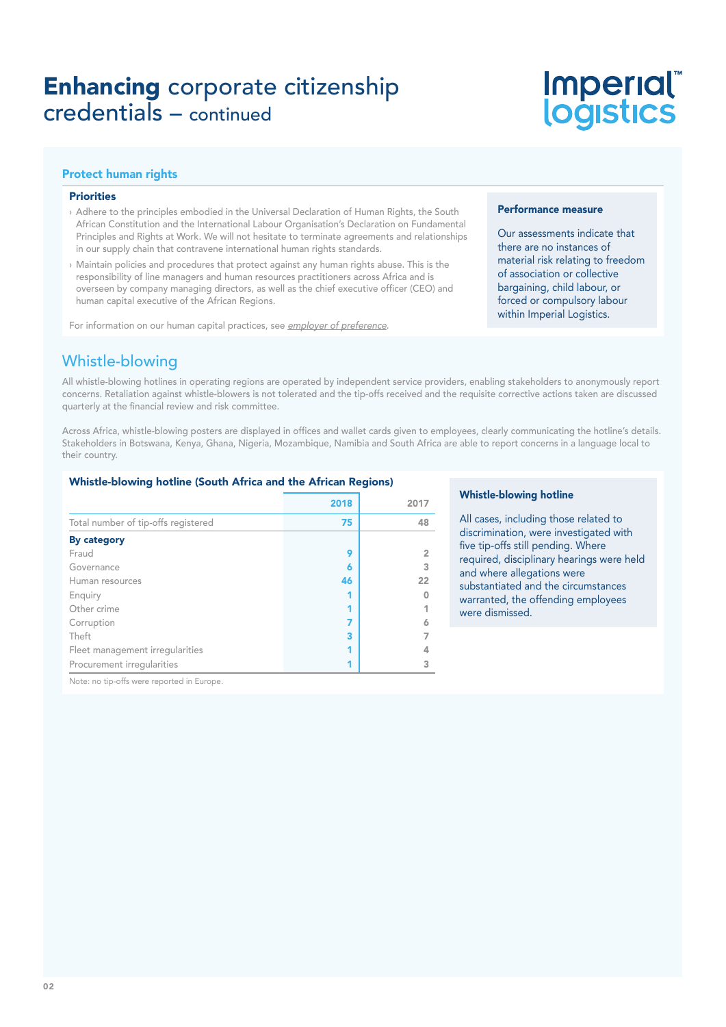# Enhancing corporate citizenship credentials – continued

# **Imperial®<br>logistics**

#### Protect human rights

#### Priorities

- › Adhere to the principles embodied in the Universal Declaration of Human Rights, the South African Constitution and the International Labour Organisation's Declaration on Fundamental Principles and Rights at Work. We will not hesitate to terminate agreements and relationships in our supply chain that contravene international human rights standards.
- › Maintain policies and procedures that protect against any human rights abuse. This is the responsibility of line managers and human resources practitioners across Africa and is overseen by company managing directors, as well as the chief executive officer (CEO) and human capital executive of the African Regions.

For information on our human capital practices, see employer of preference.

#### Performance measure

Our assessments indicate that there are no instances of material risk relating to freedom of association or collective bargaining, child labour, or forced or compulsory labour within Imperial Logistics.

### Whistle-blowing

All whistle-blowing hotlines in operating regions are operated by independent service providers, enabling stakeholders to anonymously report concerns. Retaliation against whistle-blowers is not tolerated and the tip-offs received and the requisite corrective actions taken are discussed quarterly at the financial review and risk committee.

Across Africa, whistle-blowing posters are displayed in offices and wallet cards given to employees, clearly communicating the hotline's details. Stakeholders in Botswana, Kenya, Ghana, Nigeria, Mozambique, Namibia and South Africa are able to report concerns in a language local to their country.

#### Whistle-blowing hotline (South Africa and the African Regions)

|                                     | 2018 | 2017 |
|-------------------------------------|------|------|
| Total number of tip-offs registered | 75   | 48   |
| <b>By category</b>                  |      |      |
| Fraud                               | 9    |      |
| Governance                          | 6    |      |
| Human resources                     | 46   | 22   |
| Enquiry                             |      |      |
| Other crime                         |      |      |
| Corruption                          | 7    |      |
| Theft                               | 3    |      |
| Fleet management irregularities     |      |      |
| Procurement irregularities          |      |      |

#### Whistle-blowing hotline

All cases, including those related to discrimination, were investigated with five tip-offs still pending. Where required, disciplinary hearings were held and where allegations were substantiated and the circumstances warranted, the offending employees were dismissed.

Note: no tip-offs were reported in Europe.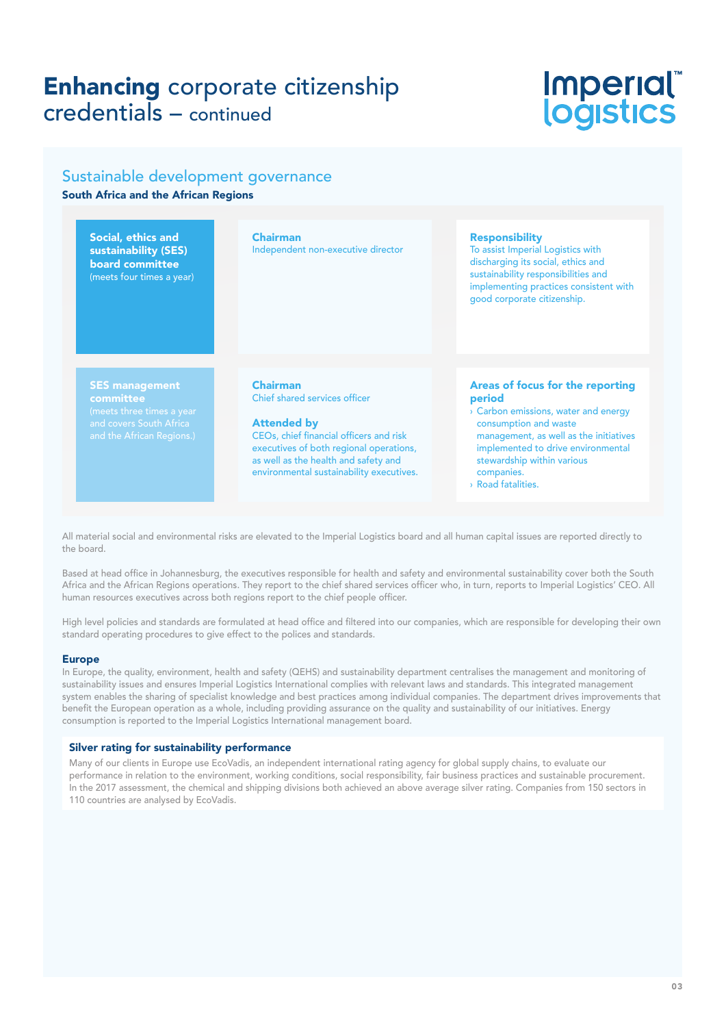## Enhancing corporate citizenship credentials – continued

# Imperial®<br>logistics

### Sustainable development governance South Africa and the African Regions

Social, ethics and sustainability (SES) board committee (meets four times a year) Chairman Independent non-executive director Responsibility To assist Imperial Logistics with discharging its social, ethics and sustainability responsibilities and implementing practices consistent with good corporate citizenship. SES management committee Chairman Chief shared services officer Attended by CEOs, chief financial officers and risk executives of both regional operations, as well as the health and safety and environmental sustainability executives. Areas of focus for the reporting period › Carbon emissions, water and energy consumption and waste management, as well as the initiatives implemented to drive environmental stewardship within various companies.

› Road fatalities.

All material social and environmental risks are elevated to the Imperial Logistics board and all human capital issues are reported directly to the board.

Based at head office in Johannesburg, the executives responsible for health and safety and environmental sustainability cover both the South Africa and the African Regions operations. They report to the chief shared services officer who, in turn, reports to Imperial Logistics' CEO. All human resources executives across both regions report to the chief people officer.

High level policies and standards are formulated at head office and filtered into our companies, which are responsible for developing their own standard operating procedures to give effect to the polices and standards.

#### Europe

In Europe, the quality, environment, health and safety (QEHS) and sustainability department centralises the management and monitoring of sustainability issues and ensures Imperial Logistics International complies with relevant laws and standards. This integrated management system enables the sharing of specialist knowledge and best practices among individual companies. The department drives improvements that benefit the European operation as a whole, including providing assurance on the quality and sustainability of our initiatives. Energy consumption is reported to the Imperial Logistics International management board.

#### Silver rating for sustainability performance

Many of our clients in Europe use EcoVadis, an independent international rating agency for global supply chains, to evaluate our performance in relation to the environment, working conditions, social responsibility, fair business practices and sustainable procurement. In the 2017 assessment, the chemical and shipping divisions both achieved an above average silver rating. Companies from 150 sectors in 110 countries are analysed by EcoVadis.